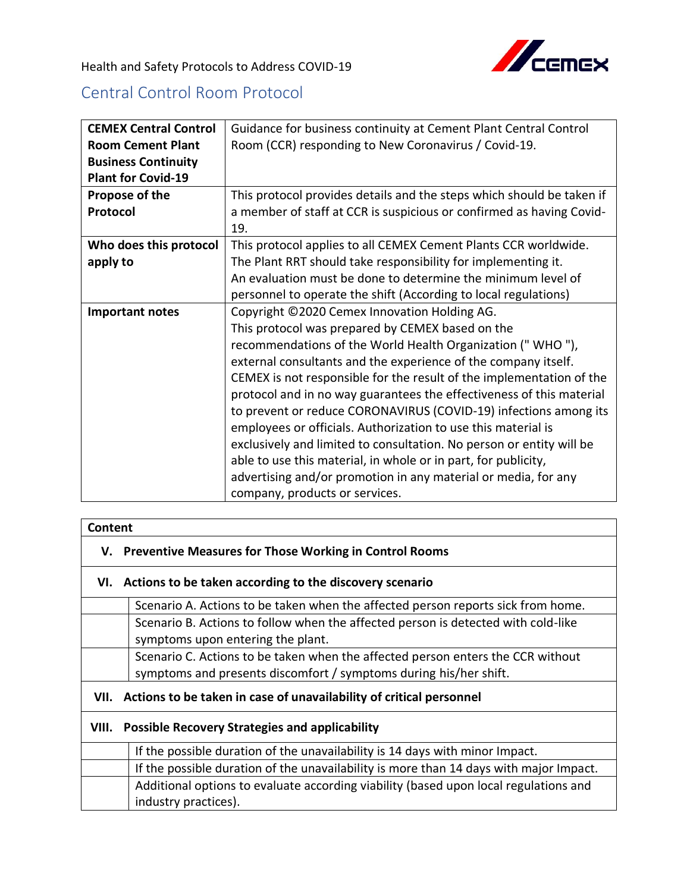

Health and Safety Protocols to Address COVID-19

## Central Control Room Protocol

| <b>CEMEX Central Control</b> | Guidance for business continuity at Cement Plant Central Control      |
|------------------------------|-----------------------------------------------------------------------|
| <b>Room Cement Plant</b>     | Room (CCR) responding to New Coronavirus / Covid-19.                  |
| <b>Business Continuity</b>   |                                                                       |
| <b>Plant for Covid-19</b>    |                                                                       |
| Propose of the               | This protocol provides details and the steps which should be taken if |
| Protocol                     | a member of staff at CCR is suspicious or confirmed as having Covid-  |
|                              | 19.                                                                   |
| Who does this protocol       | This protocol applies to all CEMEX Cement Plants CCR worldwide.       |
| apply to                     | The Plant RRT should take responsibility for implementing it.         |
|                              | An evaluation must be done to determine the minimum level of          |
|                              | personnel to operate the shift (According to local regulations)       |
| <b>Important notes</b>       | Copyright ©2020 Cemex Innovation Holding AG.                          |
|                              | This protocol was prepared by CEMEX based on the                      |
|                              | recommendations of the World Health Organization ("WHO"),             |
|                              | external consultants and the experience of the company itself.        |
|                              | CEMEX is not responsible for the result of the implementation of the  |
|                              | protocol and in no way guarantees the effectiveness of this material  |
|                              | to prevent or reduce CORONAVIRUS (COVID-19) infections among its      |
|                              | employees or officials. Authorization to use this material is         |
|                              | exclusively and limited to consultation. No person or entity will be  |
|                              | able to use this material, in whole or in part, for publicity,        |
|                              | advertising and/or promotion in any material or media, for any        |
|                              | company, products or services.                                        |

| Content                                                     |                                                                                        |  |
|-------------------------------------------------------------|----------------------------------------------------------------------------------------|--|
|                                                             | V. Preventive Measures for Those Working in Control Rooms                              |  |
| VI. Actions to be taken according to the discovery scenario |                                                                                        |  |
|                                                             | Scenario A. Actions to be taken when the affected person reports sick from home.       |  |
|                                                             | Scenario B. Actions to follow when the affected person is detected with cold-like      |  |
|                                                             | symptoms upon entering the plant.                                                      |  |
|                                                             | Scenario C. Actions to be taken when the affected person enters the CCR without        |  |
|                                                             | symptoms and presents discomfort / symptoms during his/her shift.                      |  |
|                                                             | VII. Actions to be taken in case of unavailability of critical personnel               |  |
| VIII. Possible Recovery Strategies and applicability        |                                                                                        |  |
|                                                             | If the possible duration of the unavailability is 14 days with minor Impact.           |  |
|                                                             | If the possible duration of the unavailability is more than 14 days with major Impact. |  |
|                                                             | Additional options to evaluate according viability (based upon local regulations and   |  |
|                                                             | industry practices).                                                                   |  |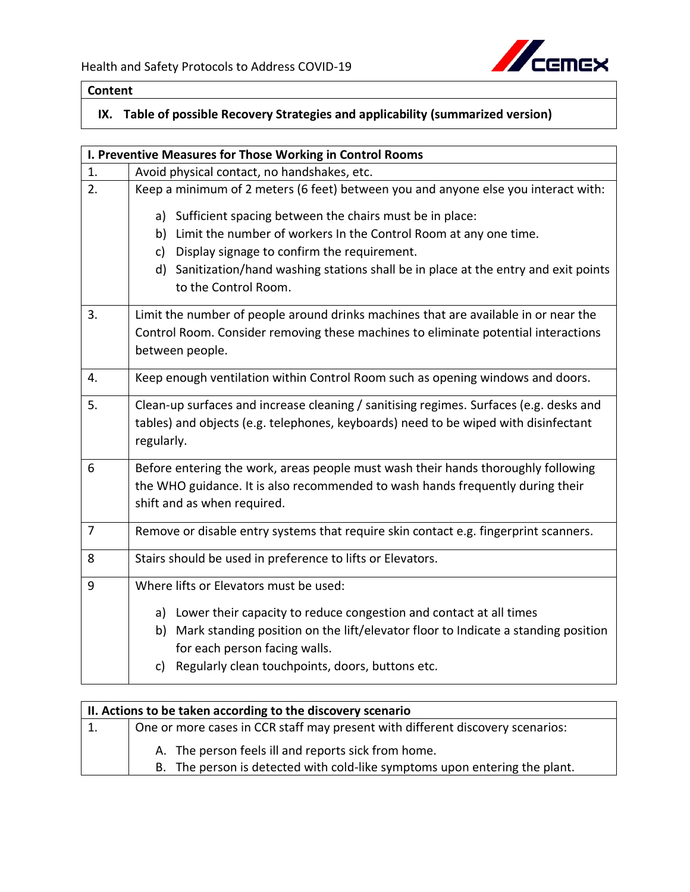

## **Content**

## **IX. Table of possible Recovery Strategies and applicability (summarized version)**

| I. Preventive Measures for Those Working in Control Rooms |                                                                                                              |
|-----------------------------------------------------------|--------------------------------------------------------------------------------------------------------------|
| 1.                                                        | Avoid physical contact, no handshakes, etc.                                                                  |
| 2.                                                        | Keep a minimum of 2 meters (6 feet) between you and anyone else you interact with:                           |
|                                                           | a) Sufficient spacing between the chairs must be in place:                                                   |
|                                                           | b) Limit the number of workers In the Control Room at any one time.                                          |
|                                                           | c) Display signage to confirm the requirement.                                                               |
|                                                           | d) Sanitization/hand washing stations shall be in place at the entry and exit points<br>to the Control Room. |
| 3.                                                        | Limit the number of people around drinks machines that are available in or near the                          |
|                                                           | Control Room. Consider removing these machines to eliminate potential interactions                           |
|                                                           | between people.                                                                                              |
| 4.                                                        | Keep enough ventilation within Control Room such as opening windows and doors.                               |
| 5.                                                        | Clean-up surfaces and increase cleaning / sanitising regimes. Surfaces (e.g. desks and                       |
|                                                           | tables) and objects (e.g. telephones, keyboards) need to be wiped with disinfectant                          |
|                                                           | regularly.                                                                                                   |
| 6                                                         | Before entering the work, areas people must wash their hands thoroughly following                            |
|                                                           | the WHO guidance. It is also recommended to wash hands frequently during their                               |
|                                                           | shift and as when required.                                                                                  |
| 7                                                         | Remove or disable entry systems that require skin contact e.g. fingerprint scanners.                         |
|                                                           |                                                                                                              |
| 8                                                         | Stairs should be used in preference to lifts or Elevators.                                                   |
| 9                                                         | Where lifts or Elevators must be used:                                                                       |
|                                                           | a) Lower their capacity to reduce congestion and contact at all times                                        |
|                                                           | b) Mark standing position on the lift/elevator floor to Indicate a standing position                         |
|                                                           | for each person facing walls.                                                                                |
|                                                           | c) Regularly clean touchpoints, doors, buttons etc.                                                          |

| II. Actions to be taken according to the discovery scenario |                                                                                                                                   |  |
|-------------------------------------------------------------|-----------------------------------------------------------------------------------------------------------------------------------|--|
| 1.                                                          | One or more cases in CCR staff may present with different discovery scenarios:                                                    |  |
|                                                             | A. The person feels ill and reports sick from home.<br>B. The person is detected with cold-like symptoms upon entering the plant. |  |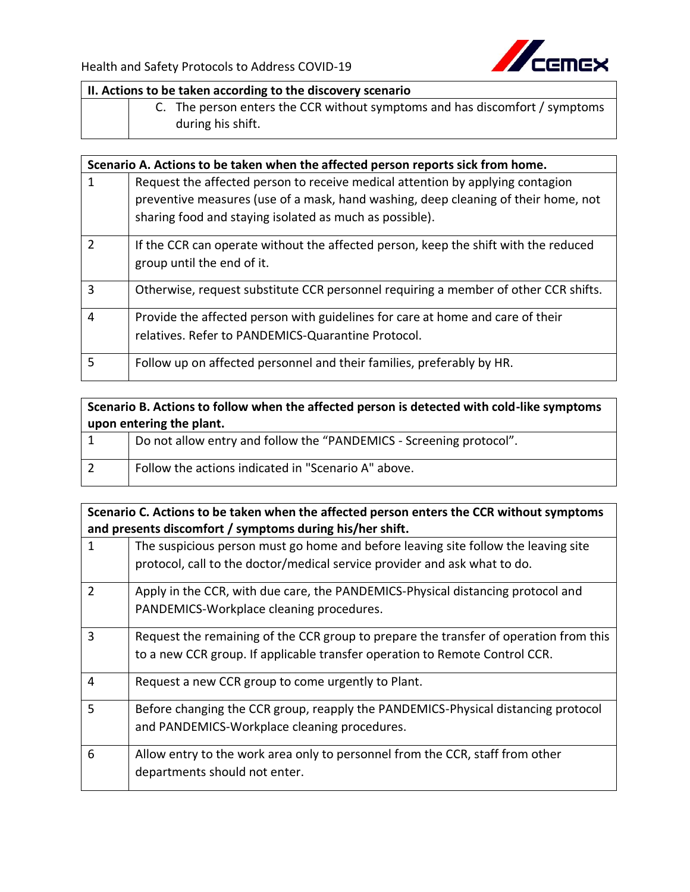

| II. Actions to be taken according to the discovery scenario |  |                                                                                                  |
|-------------------------------------------------------------|--|--------------------------------------------------------------------------------------------------|
|                                                             |  | C. The person enters the CCR without symptoms and has discomfort / symptoms<br>during his shift. |

|                | Scenario A. Actions to be taken when the affected person reports sick from home.                                  |
|----------------|-------------------------------------------------------------------------------------------------------------------|
| 1              | Request the affected person to receive medical attention by applying contagion                                    |
|                | preventive measures (use of a mask, hand washing, deep cleaning of their home, not                                |
|                | sharing food and staying isolated as much as possible).                                                           |
| $\overline{2}$ | If the CCR can operate without the affected person, keep the shift with the reduced<br>group until the end of it. |
| $\overline{3}$ | Otherwise, request substitute CCR personnel requiring a member of other CCR shifts.                               |
| $\overline{4}$ | Provide the affected person with guidelines for care at home and care of their                                    |
|                | relatives. Refer to PANDEMICS-Quarantine Protocol.                                                                |
| 5              | Follow up on affected personnel and their families, preferably by HR.                                             |

| Scenario B. Actions to follow when the affected person is detected with cold-like symptoms |                                                                     |
|--------------------------------------------------------------------------------------------|---------------------------------------------------------------------|
| upon entering the plant.                                                                   |                                                                     |
| $\vert$ 1                                                                                  | Do not allow entry and follow the "PANDEMICS - Screening protocol". |
| $\overline{2}$                                                                             | Follow the actions indicated in "Scenario A" above.                 |

**Scenario C. Actions to be taken when the affected person enters the CCR without symptoms and presents discomfort / symptoms during his/her shift.**

|                | The suspicious person must go home and before leaving site follow the leaving site<br>protocol, call to the doctor/medical service provider and ask what to do. |
|----------------|-----------------------------------------------------------------------------------------------------------------------------------------------------------------|
| $\mathcal{P}$  | Apply in the CCR, with due care, the PANDEMICS-Physical distancing protocol and                                                                                 |
|                | PANDEMICS-Workplace cleaning procedures.                                                                                                                        |
| 3              | Request the remaining of the CCR group to prepare the transfer of operation from this                                                                           |
|                | to a new CCR group. If applicable transfer operation to Remote Control CCR.                                                                                     |
| $\overline{4}$ | Request a new CCR group to come urgently to Plant.                                                                                                              |
| 5              | Before changing the CCR group, reapply the PANDEMICS-Physical distancing protocol                                                                               |
|                | and PANDEMICS-Workplace cleaning procedures.                                                                                                                    |
| 6              | Allow entry to the work area only to personnel from the CCR, staff from other                                                                                   |
|                | departments should not enter.                                                                                                                                   |
|                |                                                                                                                                                                 |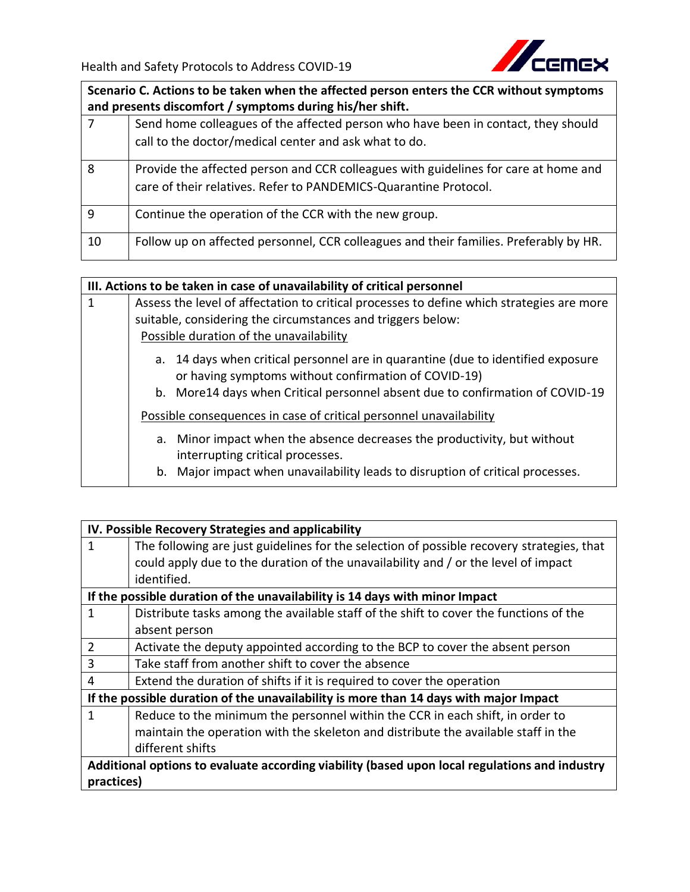

**Scenario C. Actions to be taken when the affected person enters the CCR without symptoms and presents discomfort / symptoms during his/her shift.**

| $\overline{7}$ | Send home colleagues of the affected person who have been in contact, they should<br>call to the doctor/medical center and ask what to do.              |
|----------------|---------------------------------------------------------------------------------------------------------------------------------------------------------|
| 8              | Provide the affected person and CCR colleagues with guidelines for care at home and<br>care of their relatives. Refer to PANDEMICS-Quarantine Protocol. |
| 9              | Continue the operation of the CCR with the new group.                                                                                                   |
| 10             | Follow up on affected personnel, CCR colleagues and their families. Preferably by HR.                                                                   |

|   | III. Actions to be taken in case of unavailability of critical personnel                                                                 |
|---|------------------------------------------------------------------------------------------------------------------------------------------|
| 1 | Assess the level of affectation to critical processes to define which strategies are more                                                |
|   | suitable, considering the circumstances and triggers below:                                                                              |
|   | Possible duration of the unavailability                                                                                                  |
|   | a. 14 days when critical personnel are in quarantine (due to identified exposure<br>or having symptoms without confirmation of COVID-19) |
|   | b. More 14 days when Critical personnel absent due to confirmation of COVID-19                                                           |
|   | Possible consequences in case of critical personnel unavailability                                                                       |
|   | a. Minor impact when the absence decreases the productivity, but without<br>interrupting critical processes.                             |
|   | b. Major impact when unavailability leads to disruption of critical processes.                                                           |

|                                                                                               | IV. Possible Recovery Strategies and applicability                                        |  |
|-----------------------------------------------------------------------------------------------|-------------------------------------------------------------------------------------------|--|
| 1                                                                                             | The following are just guidelines for the selection of possible recovery strategies, that |  |
|                                                                                               | could apply due to the duration of the unavailability and / or the level of impact        |  |
|                                                                                               | identified.                                                                               |  |
|                                                                                               | If the possible duration of the unavailability is 14 days with minor Impact               |  |
| 1                                                                                             | Distribute tasks among the available staff of the shift to cover the functions of the     |  |
|                                                                                               | absent person                                                                             |  |
| $\overline{2}$                                                                                | Activate the deputy appointed according to the BCP to cover the absent person             |  |
| 3                                                                                             | Take staff from another shift to cover the absence                                        |  |
| 4                                                                                             | Extend the duration of shifts if it is required to cover the operation                    |  |
| If the possible duration of the unavailability is more than 14 days with major Impact         |                                                                                           |  |
| 1                                                                                             | Reduce to the minimum the personnel within the CCR in each shift, in order to             |  |
|                                                                                               | maintain the operation with the skeleton and distribute the available staff in the        |  |
|                                                                                               | different shifts                                                                          |  |
| Additional options to evaluate according viability (based upon local regulations and industry |                                                                                           |  |
|                                                                                               | practices)                                                                                |  |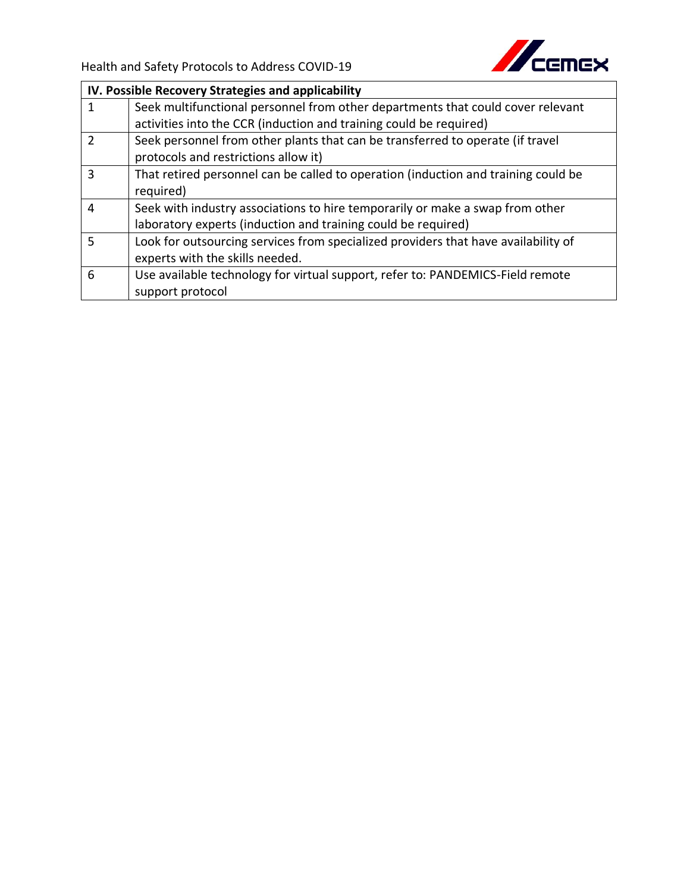

|               | IV. Possible Recovery Strategies and applicability                                 |
|---------------|------------------------------------------------------------------------------------|
|               | Seek multifunctional personnel from other departments that could cover relevant    |
|               | activities into the CCR (induction and training could be required)                 |
| $\mathcal{P}$ | Seek personnel from other plants that can be transferred to operate (if travel     |
|               | protocols and restrictions allow it)                                               |
| 3             | That retired personnel can be called to operation (induction and training could be |
|               | required)                                                                          |
| 4             | Seek with industry associations to hire temporarily or make a swap from other      |
|               | laboratory experts (induction and training could be required)                      |
| 5             | Look for outsourcing services from specialized providers that have availability of |
|               | experts with the skills needed.                                                    |
| 6             | Use available technology for virtual support, refer to: PANDEMICS-Field remote     |
|               | support protocol                                                                   |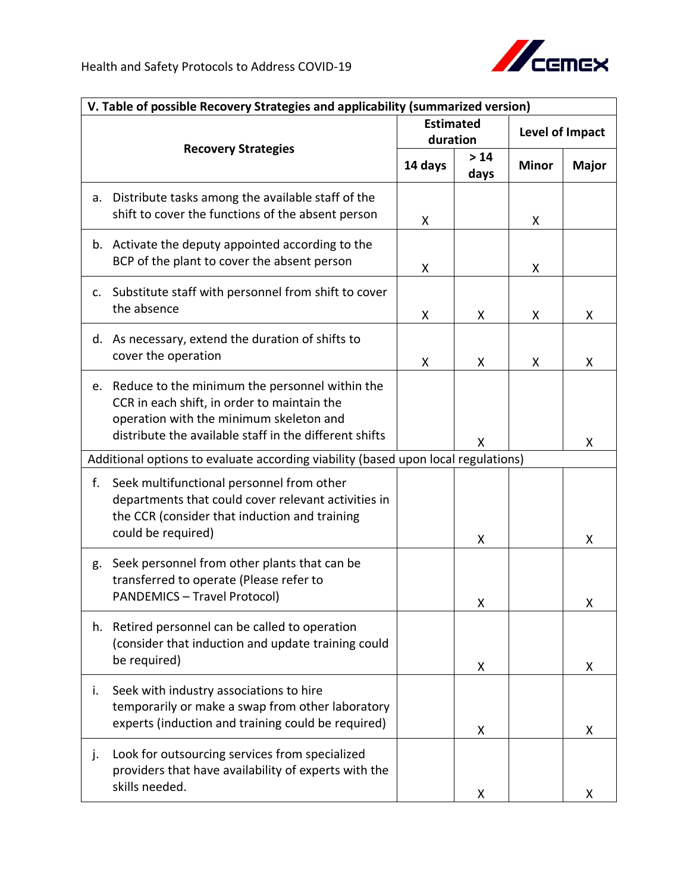

| V. Table of possible Recovery Strategies and applicability (summarized version)   |                                                                                                                                                                                                    |         |                              |              |                        |  |  |  |
|-----------------------------------------------------------------------------------|----------------------------------------------------------------------------------------------------------------------------------------------------------------------------------------------------|---------|------------------------------|--------------|------------------------|--|--|--|
|                                                                                   |                                                                                                                                                                                                    |         | <b>Estimated</b><br>duration |              | <b>Level of Impact</b> |  |  |  |
| <b>Recovery Strategies</b>                                                        |                                                                                                                                                                                                    | 14 days | $>14$<br>days                | <b>Minor</b> | <b>Major</b>           |  |  |  |
| a.                                                                                | Distribute tasks among the available staff of the<br>shift to cover the functions of the absent person                                                                                             | X       |                              | X            |                        |  |  |  |
|                                                                                   | b. Activate the deputy appointed according to the<br>BCP of the plant to cover the absent person                                                                                                   | x       |                              | X            |                        |  |  |  |
| c.                                                                                | Substitute staff with personnel from shift to cover<br>the absence                                                                                                                                 | Χ       | X                            | X            | X                      |  |  |  |
|                                                                                   | d. As necessary, extend the duration of shifts to<br>cover the operation                                                                                                                           | Χ       | X                            | X            | X                      |  |  |  |
| e.                                                                                | Reduce to the minimum the personnel within the<br>CCR in each shift, in order to maintain the<br>operation with the minimum skeleton and<br>distribute the available staff in the different shifts |         | X                            |              | X                      |  |  |  |
| Additional options to evaluate according viability (based upon local regulations) |                                                                                                                                                                                                    |         |                              |              |                        |  |  |  |
| f.                                                                                | Seek multifunctional personnel from other<br>departments that could cover relevant activities in<br>the CCR (consider that induction and training<br>could be required)                            |         | х                            |              | X                      |  |  |  |
| g.                                                                                | Seek personnel from other plants that can be<br>transferred to operate (Please refer to<br><b>PANDEMICS - Travel Protocol)</b>                                                                     |         | Χ                            |              | Χ                      |  |  |  |
| h.                                                                                | Retired personnel can be called to operation<br>(consider that induction and update training could<br>be required)                                                                                 |         | X                            |              | X                      |  |  |  |
| i.                                                                                | Seek with industry associations to hire<br>temporarily or make a swap from other laboratory<br>experts (induction and training could be required)                                                  |         | X                            |              | X                      |  |  |  |
| j.                                                                                | Look for outsourcing services from specialized<br>providers that have availability of experts with the<br>skills needed.                                                                           |         | X                            |              | X                      |  |  |  |